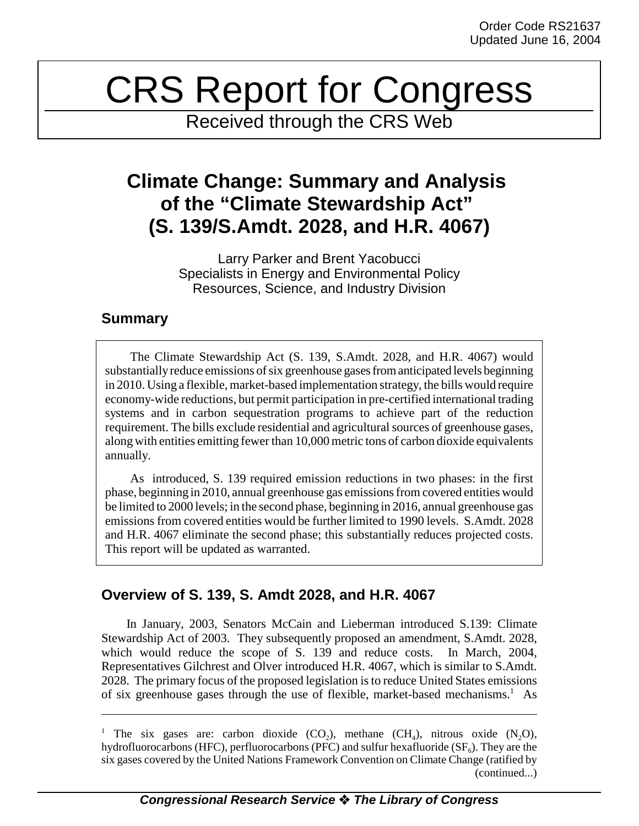# CRS Report for Congress

Received through the CRS Web

## **Climate Change: Summary and Analysis of the "Climate Stewardship Act" (S. 139/S.Amdt. 2028, and H.R. 4067)**

Larry Parker and Brent Yacobucci Specialists in Energy and Environmental Policy Resources, Science, and Industry Division

## **Summary**

The Climate Stewardship Act (S. 139, S.Amdt. 2028, and H.R. 4067) would substantially reduce emissions of six greenhouse gases from anticipated levels beginning in 2010. Using a flexible, market-based implementation strategy, the bills would require economy-wide reductions, but permit participation in pre-certified international trading systems and in carbon sequestration programs to achieve part of the reduction requirement. The bills exclude residential and agricultural sources of greenhouse gases, along with entities emitting fewer than 10,000 metric tons of carbon dioxide equivalents annually.

As introduced, S. 139 required emission reductions in two phases: in the first phase, beginning in 2010, annual greenhouse gas emissions from covered entities would be limited to 2000 levels; in the second phase, beginning in 2016, annual greenhouse gas emissions from covered entities would be further limited to 1990 levels. S.Amdt. 2028 and H.R. 4067 eliminate the second phase; this substantially reduces projected costs. This report will be updated as warranted.

## **Overview of S. 139, S. Amdt 2028, and H.R. 4067**

In January, 2003, Senators McCain and Lieberman introduced S.139: Climate Stewardship Act of 2003. They subsequently proposed an amendment, S.Amdt. 2028, which would reduce the scope of S. 139 and reduce costs. In March, 2004, Representatives Gilchrest and Olver introduced H.R. 4067, which is similar to S.Amdt. 2028. The primary focus of the proposed legislation is to reduce United States emissions of six greenhouse gases through the use of flexible, market-based mechanisms.<sup>1</sup> As

<sup>&</sup>lt;sup>1</sup> The six gases are: carbon dioxide  $(CO_2)$ , methane  $(CH_4)$ , nitrous oxide  $(N_2O)$ , hydrofluorocarbons (HFC), perfluorocarbons (PFC) and sulfur hexafluoride  $(SF_6)$ . They are the six gases covered by the United Nations Framework Convention on Climate Change (ratified by (continued...)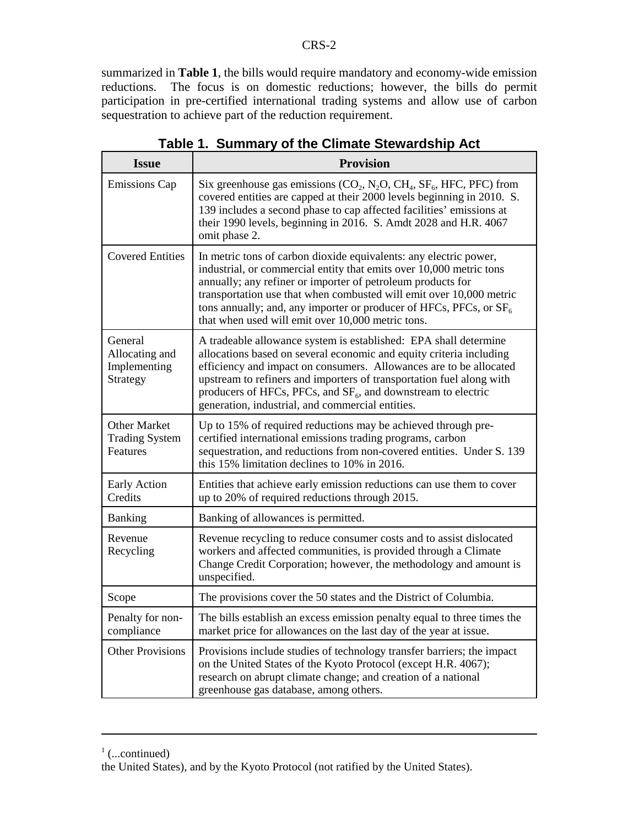summarized in **Table 1**, the bills would require mandatory and economy-wide emission reductions. The focus is on domestic reductions; however, the bills do permit participation in pre-certified international trading systems and allow use of carbon sequestration to achieve part of the reduction requirement.

| <b>Issue</b>                                             | <b>Provision</b>                                                                                                                                                                                                                                                                                                                                                                                              |
|----------------------------------------------------------|---------------------------------------------------------------------------------------------------------------------------------------------------------------------------------------------------------------------------------------------------------------------------------------------------------------------------------------------------------------------------------------------------------------|
| <b>Emissions Cap</b>                                     | Six greenhouse gas emissions ( $CO_2$ , N <sub>2</sub> O, CH <sub>4</sub> , SF <sub>6</sub> , HFC, PFC) from<br>covered entities are capped at their 2000 levels beginning in 2010. S.<br>139 includes a second phase to cap affected facilities' emissions at<br>their 1990 levels, beginning in 2016. S. Amdt 2028 and H.R. 4067<br>omit phase 2.                                                           |
| <b>Covered Entities</b>                                  | In metric tons of carbon dioxide equivalents: any electric power,<br>industrial, or commercial entity that emits over 10,000 metric tons<br>annually; any refiner or importer of petroleum products for<br>transportation use that when combusted will emit over 10,000 metric<br>tons annually; and, any importer or producer of HFCs, PFCs, or $SF6$<br>that when used will emit over 10,000 metric tons.   |
| General<br>Allocating and<br>Implementing<br>Strategy    | A tradeable allowance system is established: EPA shall determine<br>allocations based on several economic and equity criteria including<br>efficiency and impact on consumers. Allowances are to be allocated<br>upstream to refiners and importers of transportation fuel along with<br>producers of HFCs, PFCs, and $SF_6$ , and downstream to electric<br>generation, industrial, and commercial entities. |
| <b>Other Market</b><br><b>Trading System</b><br>Features | Up to 15% of required reductions may be achieved through pre-<br>certified international emissions trading programs, carbon<br>sequestration, and reductions from non-covered entities. Under S. 139<br>this 15% limitation declines to 10% in 2016.                                                                                                                                                          |
| Early Action<br>Credits                                  | Entities that achieve early emission reductions can use them to cover<br>up to 20% of required reductions through 2015.                                                                                                                                                                                                                                                                                       |
| <b>Banking</b>                                           | Banking of allowances is permitted.                                                                                                                                                                                                                                                                                                                                                                           |
| Revenue<br>Recycling                                     | Revenue recycling to reduce consumer costs and to assist dislocated<br>workers and affected communities, is provided through a Climate<br>Change Credit Corporation; however, the methodology and amount is<br>unspecified.                                                                                                                                                                                   |
| Scope                                                    | The provisions cover the 50 states and the District of Columbia.                                                                                                                                                                                                                                                                                                                                              |
| Penalty for non-<br>compliance                           | The bills establish an excess emission penalty equal to three times the<br>market price for allowances on the last day of the year at issue.                                                                                                                                                                                                                                                                  |
| <b>Other Provisions</b>                                  | Provisions include studies of technology transfer barriers; the impact<br>on the United States of the Kyoto Protocol (except H.R. 4067);<br>research on abrupt climate change; and creation of a national<br>greenhouse gas database, among others.                                                                                                                                                           |

**Table 1. Summary of the Climate Stewardship Act**

 $\frac{1}{1}$  (...continued)

the United States), and by the Kyoto Protocol (not ratified by the United States).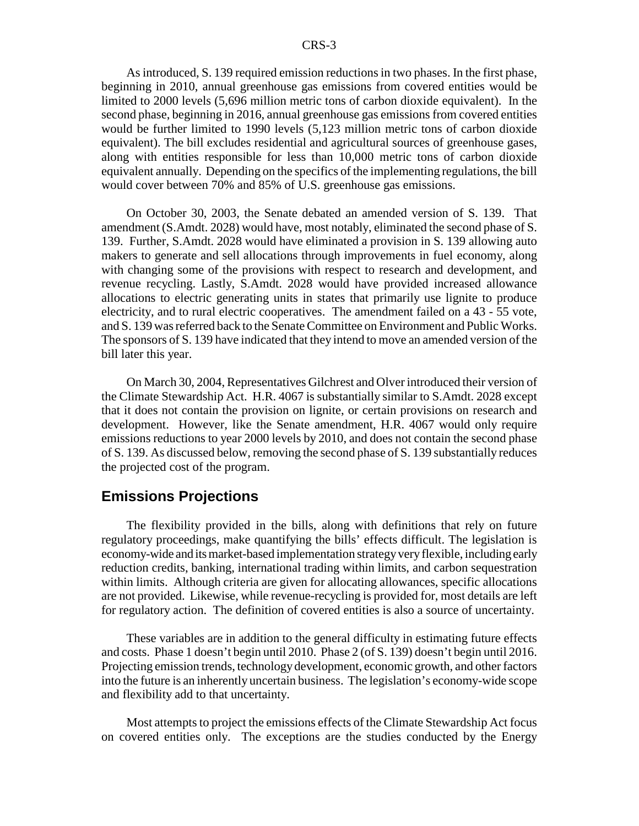As introduced, S. 139 required emission reductions in two phases. In the first phase, beginning in 2010, annual greenhouse gas emissions from covered entities would be limited to 2000 levels (5,696 million metric tons of carbon dioxide equivalent). In the second phase, beginning in 2016, annual greenhouse gas emissions from covered entities would be further limited to 1990 levels (5,123 million metric tons of carbon dioxide equivalent). The bill excludes residential and agricultural sources of greenhouse gases, along with entities responsible for less than 10,000 metric tons of carbon dioxide equivalent annually. Depending on the specifics of the implementing regulations, the bill would cover between 70% and 85% of U.S. greenhouse gas emissions.

On October 30, 2003, the Senate debated an amended version of S. 139. That amendment (S.Amdt. 2028) would have, most notably, eliminated the second phase of S. 139. Further, S.Amdt. 2028 would have eliminated a provision in S. 139 allowing auto makers to generate and sell allocations through improvements in fuel economy, along with changing some of the provisions with respect to research and development, and revenue recycling. Lastly, S.Amdt. 2028 would have provided increased allowance allocations to electric generating units in states that primarily use lignite to produce electricity, and to rural electric cooperatives. The amendment failed on a 43 - 55 vote, and S. 139 was referred back to the Senate Committee on Environment and Public Works. The sponsors of S. 139 have indicated that they intend to move an amended version of the bill later this year.

On March 30, 2004, Representatives Gilchrest and Olver introduced their version of the Climate Stewardship Act. H.R. 4067 is substantially similar to S.Amdt. 2028 except that it does not contain the provision on lignite, or certain provisions on research and development. However, like the Senate amendment, H.R. 4067 would only require emissions reductions to year 2000 levels by 2010, and does not contain the second phase of S. 139. As discussed below, removing the second phase of S. 139 substantially reduces the projected cost of the program.

#### **Emissions Projections**

The flexibility provided in the bills, along with definitions that rely on future regulatory proceedings, make quantifying the bills' effects difficult. The legislation is economy-wide and its market-based implementation strategy very flexible, including early reduction credits, banking, international trading within limits, and carbon sequestration within limits. Although criteria are given for allocating allowances, specific allocations are not provided. Likewise, while revenue-recycling is provided for, most details are left for regulatory action. The definition of covered entities is also a source of uncertainty.

These variables are in addition to the general difficulty in estimating future effects and costs. Phase 1 doesn't begin until 2010. Phase 2 (of S. 139) doesn't begin until 2016. Projecting emission trends, technology development, economic growth, and other factors into the future is an inherently uncertain business. The legislation's economy-wide scope and flexibility add to that uncertainty.

Most attempts to project the emissions effects of the Climate Stewardship Act focus on covered entities only. The exceptions are the studies conducted by the Energy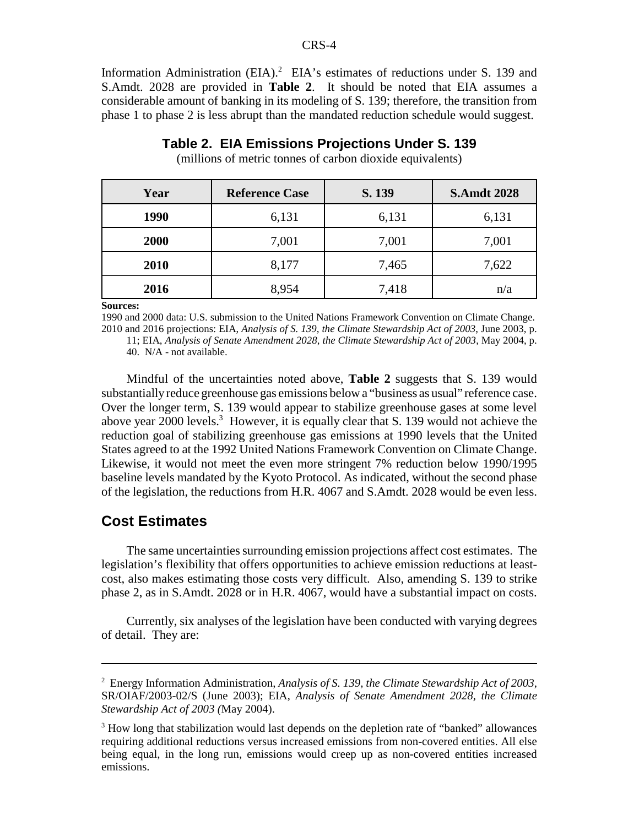Information Administration  $(EIA)^2$  EIA's estimates of reductions under S. 139 and S.Amdt. 2028 are provided in **Table 2**. It should be noted that EIA assumes a considerable amount of banking in its modeling of S. 139; therefore, the transition from phase 1 to phase 2 is less abrupt than the mandated reduction schedule would suggest.

| Year | <b>Reference Case</b> | S. 139 | <b>S.Amdt 2028</b> |  |  |
|------|-----------------------|--------|--------------------|--|--|
| 1990 | 6,131                 | 6,131  | 6,131              |  |  |
| 2000 | 7,001                 | 7,001  | 7,001              |  |  |
| 2010 | 8,177                 | 7,465  | 7,622              |  |  |
| 2016 | 8,954                 | 7,418  | n/a                |  |  |

### **Table 2. EIA Emissions Projections Under S. 139**

(millions of metric tonnes of carbon dioxide equivalents)

**Sources:**

1990 and 2000 data: U.S. submission to the United Nations Framework Convention on Climate Change. 2010 and 2016 projections: EIA, *Analysis of S. 139, the Climate Stewardship Act of 2003*, June 2003, p.

11; EIA, *Analysis of Senate Amendment 2028, the Climate Stewardship Act of 2003*, May 2004, p. 40. N/A - not available.

Mindful of the uncertainties noted above, **Table 2** suggests that S. 139 would substantially reduce greenhouse gas emissions below a "business as usual" reference case. Over the longer term, S. 139 would appear to stabilize greenhouse gases at some level above year 2000 levels.<sup>3</sup> However, it is equally clear that S. 139 would not achieve the reduction goal of stabilizing greenhouse gas emissions at 1990 levels that the United States agreed to at the 1992 United Nations Framework Convention on Climate Change. Likewise, it would not meet the even more stringent 7% reduction below 1990/1995 baseline levels mandated by the Kyoto Protocol. As indicated, without the second phase of the legislation, the reductions from H.R. 4067 and S.Amdt. 2028 would be even less.

#### **Cost Estimates**

The same uncertainties surrounding emission projections affect cost estimates. The legislation's flexibility that offers opportunities to achieve emission reductions at leastcost, also makes estimating those costs very difficult. Also, amending S. 139 to strike phase 2, as in S.Amdt. 2028 or in H.R. 4067, would have a substantial impact on costs.

Currently, six analyses of the legislation have been conducted with varying degrees of detail. They are:

<sup>2</sup> Energy Information Administration, *Analysis of S. 139, the Climate Stewardship Act of 2003*, SR/OIAF/2003-02/S (June 2003); EIA, *Analysis of Senate Amendment 2028, the Climate Stewardship Act of 2003 (*May 2004).

<sup>&</sup>lt;sup>3</sup> How long that stabilization would last depends on the depletion rate of "banked" allowances requiring additional reductions versus increased emissions from non-covered entities. All else being equal, in the long run, emissions would creep up as non-covered entities increased emissions.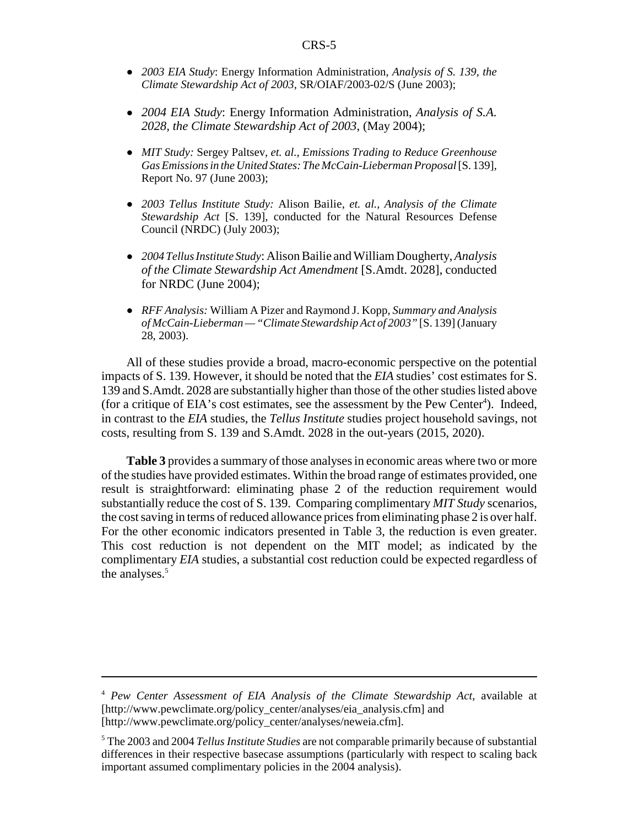- ! *2003 EIA Study*: Energy Information Administration, *Analysis of S. 139, the Climate Stewardship Act of 2003*, SR/OIAF/2003-02/S (June 2003);
- ! *2004 EIA Study*: Energy Information Administration, *Analysis of S.A. 2028, the Climate Stewardship Act of 2003*, (May 2004);
- ! *MIT Study:* Sergey Paltsev, *et. al., Emissions Trading to Reduce Greenhouse Gas Emissions in the United States: The McCain-Lieberman Proposal* [S. 139], Report No. 97 (June 2003);
- ! *2003 Tellus Institute Study:* Alison Bailie, *et. al., Analysis of the Climate Stewardship Act* [S. 139], conducted for the Natural Resources Defense Council (NRDC) (July 2003);
- ! *2004 Tellus Institute Study*: Alison Bailie and William Dougherty, *Analysis of the Climate Stewardship Act Amendment* [S.Amdt. 2028], conducted for NRDC (June 2004);
- ! *RFF Analysis:* William A Pizer and Raymond J. Kopp, *Summary and Analysis of McCain-Lieberman — "Climate Stewardship Act of 2003"* [S. 139] (January 28, 2003).

All of these studies provide a broad, macro-economic perspective on the potential impacts of S. 139. However, it should be noted that the *EIA* studies' cost estimates for S. 139 and S.Amdt. 2028 are substantially higher than those of the other studies listed above (for a critique of EIA's cost estimates, see the assessment by the Pew Center<sup>4</sup>). Indeed, in contrast to the *EIA* studies, the *Tellus Institute* studies project household savings, not costs, resulting from S. 139 and S.Amdt. 2028 in the out-years (2015, 2020).

**Table 3** provides a summary of those analyses in economic areas where two or more of the studies have provided estimates. Within the broad range of estimates provided, one result is straightforward: eliminating phase 2 of the reduction requirement would substantially reduce the cost of S. 139. Comparing complimentary *MIT Study* scenarios, the cost saving in terms of reduced allowance prices from eliminating phase 2 is over half. For the other economic indicators presented in Table 3, the reduction is even greater. This cost reduction is not dependent on the MIT model; as indicated by the complimentary *EIA* studies, a substantial cost reduction could be expected regardless of the analyses.<sup>5</sup>

<sup>4</sup> *Pew Center Assessment of EIA Analysis of the Climate Stewardship Act*, available at [http://www.pewclimate.org/policy\_center/analyses/eia\_analysis.cfm] and [http://www.pewclimate.org/policy\_center/analyses/neweia.cfm].

<sup>5</sup> The 2003 and 2004 *Tellus Institute Studies* are not comparable primarily because of substantial differences in their respective basecase assumptions (particularly with respect to scaling back important assumed complimentary policies in the 2004 analysis).